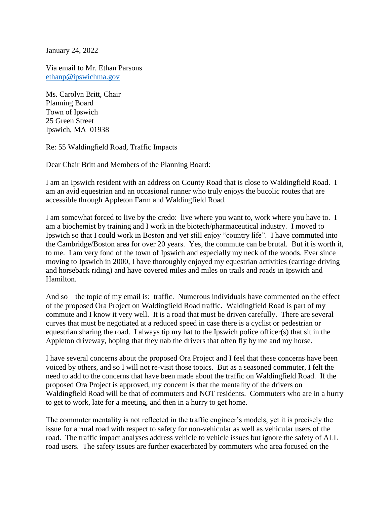January 24, 2022

Via email to Mr. Ethan Parsons [ethanp@ipswichma.gov](mailto:ethanp@ipswichma.gov)

Ms. Carolyn Britt, Chair Planning Board Town of Ipswich 25 Green Street Ipswich, MA 01938

Re: 55 Waldingfield Road, Traffic Impacts

Dear Chair Britt and Members of the Planning Board:

I am an Ipswich resident with an address on County Road that is close to Waldingfield Road. I am an avid equestrian and an occasional runner who truly enjoys the bucolic routes that are accessible through Appleton Farm and Waldingfield Road.

I am somewhat forced to live by the credo: live where you want to, work where you have to. I am a biochemist by training and I work in the biotech/pharmaceutical industry. I moved to Ipswich so that I could work in Boston and yet still enjoy "country life". I have commuted into the Cambridge/Boston area for over 20 years. Yes, the commute can be brutal. But it is worth it, to me. I am very fond of the town of Ipswich and especially my neck of the woods. Ever since moving to Ipswich in 2000, I have thoroughly enjoyed my equestrian activities (carriage driving and horseback riding) and have covered miles and miles on trails and roads in Ipswich and Hamilton.

And so – the topic of my email is: traffic. Numerous individuals have commented on the effect of the proposed Ora Project on Waldingfield Road traffic. Waldingfield Road is part of my commute and I know it very well. It is a road that must be driven carefully. There are several curves that must be negotiated at a reduced speed in case there is a cyclist or pedestrian or equestrian sharing the road. I always tip my hat to the Ipswich police officer(s) that sit in the Appleton driveway, hoping that they nab the drivers that often fly by me and my horse.

I have several concerns about the proposed Ora Project and I feel that these concerns have been voiced by others, and so I will not re-visit those topics. But as a seasoned commuter, I felt the need to add to the concerns that have been made about the traffic on Waldingfield Road. If the proposed Ora Project is approved, my concern is that the mentality of the drivers on Waldingfield Road will be that of commuters and NOT residents. Commuters who are in a hurry to get to work, late for a meeting, and then in a hurry to get home.

The commuter mentality is not reflected in the traffic engineer's models, yet it is precisely the issue for a rural road with respect to safety for non-vehicular as well as vehicular users of the road. The traffic impact analyses address vehicle to vehicle issues but ignore the safety of ALL road users. The safety issues are further exacerbated by commuters who area focused on the